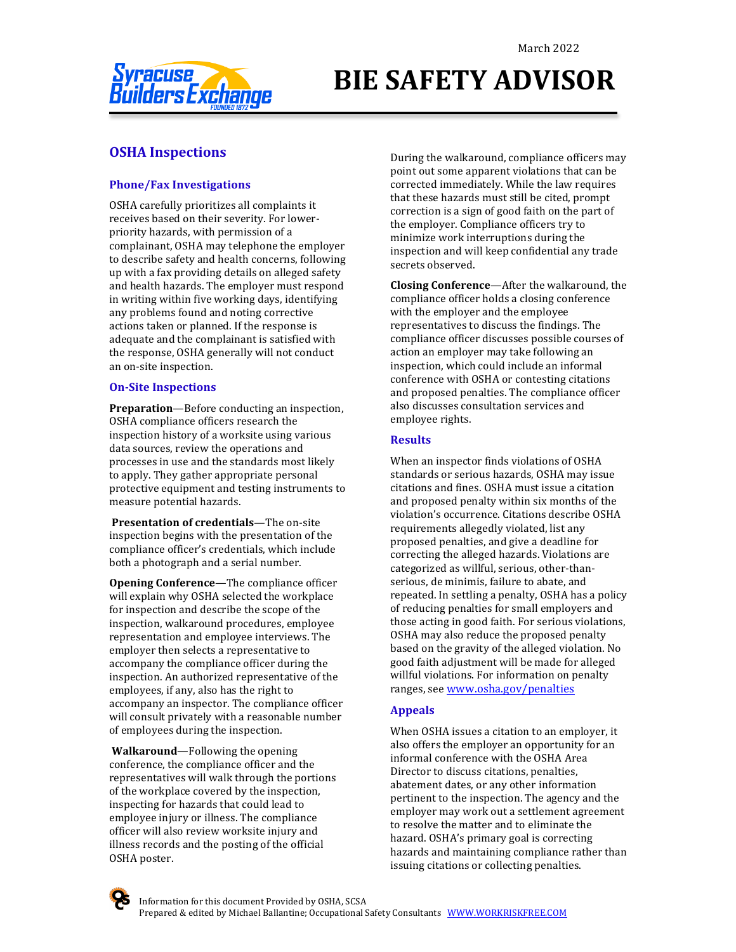

# **BIE SAFETY ADVISOR**

### **OSHA** Inspections

### **Phone/Fax Investigations**

OSHA carefully prioritizes all complaints it receives based on their severity. For lowerpriority hazards, with permission of a complainant, OSHA may telephone the employer to describe safety and health concerns, following up with a fax providing details on alleged safety and health hazards. The employer must respond in writing within five working days, identifying any problems found and noting corrective actions taken or planned. If the response is adequate and the complainant is satisfied with the response, OSHA generally will not conduct an on-site inspection.

### **On-Site Inspections**

**Preparation**—Before conducting an inspection, OSHA compliance officers research the inspection history of a worksite using various data sources, review the operations and processes in use and the standards most likely to apply. They gather appropriate personal protective equipment and testing instruments to measure potential hazards.

**Presentation of credentials**—The on-site inspection begins with the presentation of the compliance officer's credentials, which include both a photograph and a serial number.

**Opening Conference**—The compliance officer will explain why OSHA selected the workplace for inspection and describe the scope of the inspection, walkaround procedures, employee representation and employee interviews. The employer then selects a representative to accompany the compliance officer during the inspection. An authorized representative of the employees, if any, also has the right to accompany an inspector. The compliance officer will consult privately with a reasonable number of employees during the inspection.

**Walkaround**—Following the opening conference, the compliance officer and the representatives will walk through the portions of the workplace covered by the inspection, inspecting for hazards that could lead to employee injury or illness. The compliance officer will also review worksite injury and illness records and the posting of the official OSHA poster.

During the walkaround, compliance officers may point out some apparent violations that can be corrected immediately. While the law requires that these hazards must still be cited, prompt correction is a sign of good faith on the part of the employer. Compliance officers try to minimize work interruptions during the inspection and will keep confidential any trade secrets observed.

**Closing Conference**—After the walkaround, the compliance officer holds a closing conference with the employer and the employee representatives to discuss the findings. The compliance officer discusses possible courses of action an employer may take following an inspection, which could include an informal conference with OSHA or contesting citations and proposed penalties. The compliance officer also discusses consultation services and employee rights.

### **Results**

When an inspector finds violations of OSHA standards or serious hazards, OSHA may issue citations and fines. OSHA must issue a citation and proposed penalty within six months of the violation's occurrence. Citations describe OSHA requirements allegedly violated, list any proposed penalties, and give a deadline for correcting the alleged hazards. Violations are categorized as willful, serious, other-thanserious, de minimis, failure to abate, and repeated. In settling a penalty, OSHA has a policy of reducing penalties for small employers and those acting in good faith. For serious violations, OSHA may also reduce the proposed penalty based on the gravity of the alleged violation. No good faith adjustment will be made for alleged willful violations. For information on penalty ranges, see www.osha.gov/penalties

### **Appeals**

When OSHA issues a citation to an employer, it also offers the employer an opportunity for an informal conference with the OSHA Area Director to discuss citations, penalties, abatement dates, or any other information pertinent to the inspection. The agency and the employer may work out a settlement agreement to resolve the matter and to eliminate the hazard. OSHA's primary goal is correcting hazards and maintaining compliance rather than issuing citations or collecting penalties.